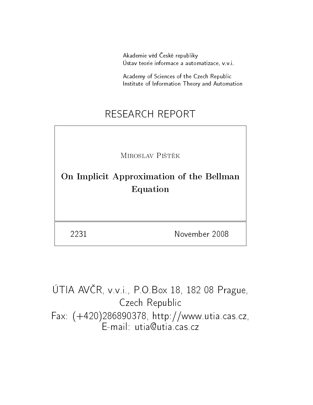Akademie věd České republiky Ústav teorie informace a automatizace, v.v.i.

Academy of Sciences of the Czech Republic Institute of Information Theory and Automation

# RESEARCH REPORT

MIROSLAV PIŠTĚK

On Implicit Approximation of the Bellman Equation

2231 November 2008

ÚTIA AVČR, v.v.i., P.O.Box 18, 182 08 Prague, Czech Republic Fax: (+420)286890378, http://www.utia.cas.cz,  $E$ -mail: utia $\Omega$ utia $\Gamma$ cas.cz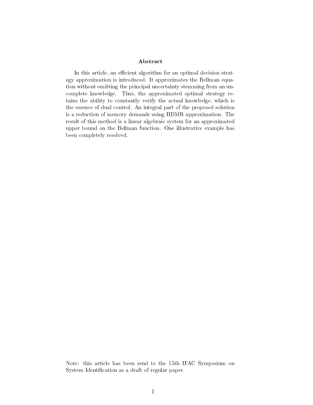#### Abstract

In this article, an efficient algorithm for an optimal decision strategy approximation is introduced. It approximates the Bellman equation without omitting the principal uncertainty stemming from an uncomplete knowledge. Thus, the approximated optimal strategy retains the ability to constantly verify the actual knowledge, which is the essence of dual control. An integral part of the proposed solution is a reduction of memory demands using HDMR approximation. The result of this method is a linear algebraic system for an approximated upper bound on the Bellman function. One illustrative example has been completely resolved.

Note: this article has been send to the 15th IFAC Symposium on System Identification as a draft of regular paper.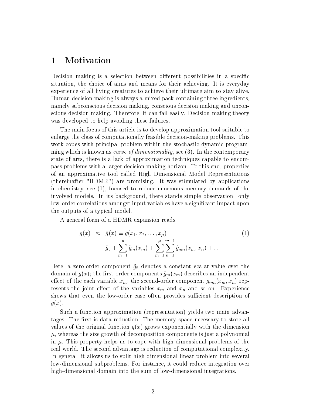## 1 Motivation

Decision making is a selection between different possibilities in a specific situation, the choice of aims and means for their achieving. It is everyday experience of all living creatures to achieve their ultimate aim to stay alive. Human decision making is always a mixed pack containing three ingredients, namely subconscious decision making, conscious decision making and unconscious decision making. Therefore, it can fail easily. Decision-making theory was developed to help avoiding these failures.

The main focus of this article is to develop approximation tool suitable to enlarge the class of computationally feasible decision-making problems. This work copes with principal problem within the stochastic dynamic programming which is known as *curse of dimensionality*, see (3). In the contemporary state of arts, there is a lack of approximation techniques capable to encompass problems with a larger decision-making horizon. To this end, properties of an approximative tool called High Dimensional Model Representations (thereinafter "HDMR") are promising. It was stimulated by applications in chemistry, see (1), focused to reduce enormous memory demands of the involved models. In its background, there stands simple observation: only low-order correlations amongst input variables have a significant impact upon the outputs of a typical model.

A general form of a HDMR expansion reads

$$
g(x) \approx \tilde{g}(x) \equiv \tilde{g}(x_1, x_2, \dots, x_{\mu}) =
$$
  

$$
\tilde{g}_0 + \sum_{m=1}^{\mu} \tilde{g}_m(x_m) + \sum_{m=1}^{\mu} \sum_{n=1}^{m-1} \tilde{g}_{mn}(x_m, x_n) + \dots
$$
 (1)

Here, a zero-order component  $\tilde{g}_{\emptyset}$  denotes a constant scalar value over the domain of  $g(x)$ ; the first-order components  $\tilde{g}_m(x_m)$  describes an independent effect of the each variable  $x_m$ ; the second-order component  $\tilde{g}_{mn}(x_m, x_n)$  represents the joint effect of the variables  $x_m$  and  $x_n$  and so on. Experience shows that even the low-order case often provides sufficient description of  $g(x)$ .

Such a function approximation (representation) yields two main advantages. The first is data reduction. The memory space necessary to store all values of the original function  $g(x)$  grows exponentially with the dimension  $\mu$ , whereas the size growth of decomposition components is just a polynomial in  $\mu$ . This property helps us to cope with high-dimensional problems of the real world. The second advantage is reduction of computational complexity. In general, it allows us to split high-dimensional linear problem into several low-dimensional subproblems. For instance, it could reduce integration over high-dimensional domain into the sum of low-dimensional integrations.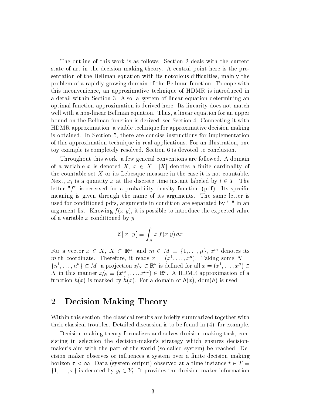The outline of this work is as follows. Section 2 deals with the current state of art in the decision making theory. A central point here is the presentation of the Bellman equation with its notorious difficulties, mainly the problem of a rapidly growing domain of the Bellman function. To cope with this inconvenience, an approximative technique of HDMR is introduced in a detail within Section 3. Also, a system of linear equation determining an optimal function approximation is derived here. Its linearity does not match well with a non-linear Bellman equation. Thus, a linear equation for an upper bound on the Bellman function is derived, see Section 4. Connecting it with HDMR approximation, a viable technique for approximative decision making is obtained. In Section 5, there are concise instructions for implementation of this approximation technique in real applications. For an illustration, one toy example is completely resolved. Section 6 is devoted to conclusion.

Throughout this work, a few general conventions are followed. A domain of a variable x is denoted X,  $x \in X$ . |X| denotes a finite cardinality of the countable set  $X$  or its Lebesque measure in the case it is not countable. Next,  $x_t$  is a quantity x at the discrete time instant labeled by  $t \in T$ . The letter " $f''$  is reserved for a probability density function (pdf). Its specific meaning is given through the name of its arguments. The same letter is used for conditioned pdfs, arguments in condition are separated by "|" in an argument list. Knowing  $f(x|y)$ , it is possible to introduce the expected value of a variable x conditioned by  $y$ 

$$
\mathcal{E}[x \mid y] \equiv \int_X x f(x|y) \, dx
$$

For a vector  $x \in X$ ,  $X \subset \mathbb{R}^{\mu}$ , and  $m \in M \equiv \{1, \ldots, \mu\}$ ,  $x^{m}$  denotes its m-th coordinate. Therefore, it reads  $x = (x^1, \ldots, x^{\mu})$ . Taking some  $N =$  $\{n^1, \ldots, n^\nu\} \subset M$ , a projection  $x_N \in \mathbb{R}^\nu$  is defined for all  $x = (x^1, \ldots, x^\mu) \in$ X in this manner  $x|_N \equiv (x^{n_1}, \ldots, x^{n_\nu}) \in \mathbb{R}^\nu$ . A HDMR approximation of a function  $h(x)$  is marked by  $h(x)$ . For a domain of  $h(x)$ , dom(h) is used.

### 2 Decision Making Theory

Within this section, the classical results are briefly summarized together with their classical troubles. Detailed discussion is to be found in (4), for example.

Decision-making theory formalizes and solves decision-making task, consisting in selection the decision-maker's strategy which ensures decisionmaker's aim with the part of the world (so-called system) be reached. Decision maker observes or influences a system over a finite decision making horizon  $\tau < \infty$ . Data (system output) observed at a time instance  $t \in T \equiv$  $\{1,\ldots,\tau\}$  is denoted by  $y_t \in Y_t$ . It provides the decision maker information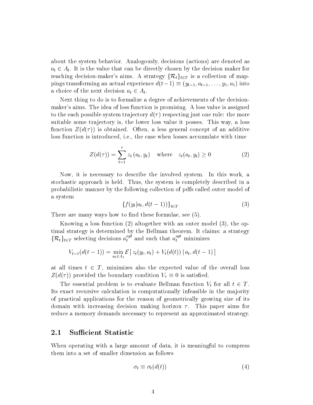about the system behavior. Analogously, decisions (actions) are denoted as  $a_t \in A_t$ . It is the value that can be directly chosen by the decision maker for reaching decision-maker's aims. A strategy  $\{\mathcal{R}_t\}_{t\in\mathcal{T}}$  is a collection of mappings transforming an actual experience  $d(t-1) \equiv (y_{t-1}, a_{t-1}, \ldots, y_1, a_1)$  into a choice of the next decision  $a_t \in A_t$ .

Next thing to do is to formalize a degree of achievements of the decisionmaker's aims. The idea of loss function is promising. A loss value is assigned to the each possible system trajectory  $d(\tau)$  respecting just one rule: the more suitable some trajectory is, the lower loss value it posses. This way, a loss function  $Z(d(\tau))$  is obtained. Often, a less general concept of an additive loss function is introduced, i.e., the case when losses accumulate with time

$$
Z(d(\tau)) = \sum_{t=1}^{\tau} z_t (a_t, y_t) \quad \text{where} \quad z_t(a_t, y_t) \ge 0 \tag{2}
$$

Now, it is necessary to describe the involved system. In this work, a stochastic approach is held. Thus, the system is completely described in a probabilistic manner by the following collection of pdfs called outer model of a system

$$
\{f(y_t|a_t, d(t-1))\}_{t \in T}
$$
\n
$$
(3)
$$

There are many ways how to find these formulae, see  $(5)$ .

Knowing a loss function (2) altogether with an outer model (3), the optimal strategy is determined by the Bellman theorem. It claims: a strategy  $\{\mathcal{R}_t\}_{t \in T}$  selecting decisions  $a_t^{opt}$  and such that  $a_t^{opt}$  minimizes

$$
V_{t-1}(d(t-1)) = \min_{a_t \in A_t} \mathcal{E} [z_t(y_t, a_t) + V_t(d(t)) | a_t, d(t-1)]
$$

at all times  $t \in T$ , minimizes also the expected value of the overall loss  $Z(d(\tau))$  provided the boundary condition  $V_{\tau} \equiv 0$  is satisfied.

The essential problem is to evaluate Bellman function  $V_t$  for all  $t \in T$ . Its exact recursive calculation is computationally infeasible in the majority of practical applications for the reason of geometrically growing size of its domain with increasing decision making horizon  $\tau$ . This paper aims for reduce a memory demands necessary to represent an approximated strategy.

#### 2.1 Sufficient Statistic

When operating with a large amount of data, it is meaningful to compress them into a set of smaller dimension as follows

$$
\sigma_t \equiv \sigma_t(d(t)) \tag{4}
$$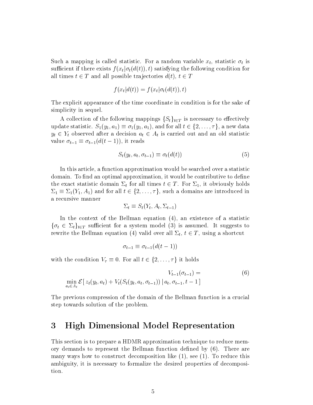Such a mapping is called statistic. For a random variable  $x_t$ , statistic  $\sigma_t$  is sufficient if there exists  $f(x_t | \sigma_t(d(t)), t)$  satisfying the following condition for all times  $t \in T$  and all possible trajectories  $d(t)$ ,  $t \in T$ 

$$
f(x_t|d(t)) = f(x_t|\sigma_t(d(t)), t)
$$

The explicit appearance of the time coordinate in condition is for the sake of simplicity in sequel.

A collection of the following mappings  $\{S_t\}_{t\in\mathcal{T}}$  is necessary to effectively update statistic.  $S_1(y_1, a_1) \equiv \sigma_1(y_1, a_1)$ , and for all  $t \in \{2, \ldots, \tau\}$ , a new data  $y_t \in Y_t$  observed after a decision  $a_t \in A_t$  is carried out and an old statistic value  $\sigma_{t-1} \equiv \sigma_{t-1}(d(t-1))$ , it reads

$$
S_t(y_t, a_t, \sigma_{t-1}) \equiv \sigma_t(d(t)) \tag{5}
$$

In this article, a function approximation would be searched over a statistic domain. To find an optimal approximation, it would be contributive to define the exact statistic domain  $\Sigma_t$  for all times  $t \in T$ . For  $\Sigma_1$ , it obviously holds  $\Sigma_1 \equiv \Sigma_1(Y_1, A_1)$  and for all  $t \in \{2, \ldots, \tau\}$ , such a domains are introduced in a recursive manner

$$
\Sigma_t \equiv S_t(Y_t, A_t, \Sigma_{t-1})
$$

In the context of the Bellman equation (4), an existence of a statistic  $\{\sigma_t \in \Sigma_t\}_{t \in T}$  sufficient for a system model (3) is assumed. It suggests to rewrite the Bellman equation (4) valid over all  $\Sigma_t, \, t \in T,$  using a shortcut

$$
\sigma_{t-1} \equiv \sigma_{t-1}(d(t-1))
$$

with the condition  $V_{\tau} \equiv 0$ . For all  $t \in \{2, \ldots, \tau\}$  it holds

$$
V_{t-1}(\sigma_{t-1}) = \min_{a_t \in A_t} \mathcal{E}[z_t(y_t, a_t) + V_t(S_t(y_t, a_t, \sigma_{t-1})) | a_t, \sigma_{t-1}, t-1]
$$
(6)

The previous compression of the domain of the Bellman function is a crucial step towards solution of the problem.

### 3 High Dimensional Model Representation

This section is to prepare a HDMR approximation technique to reduce memory demands to represent the Bellman function defined by  $(6)$ . There are many ways how to construct decomposition like (1), see (1). To reduce this ambiguity, it is necessary to formalize the desired properties of decomposition.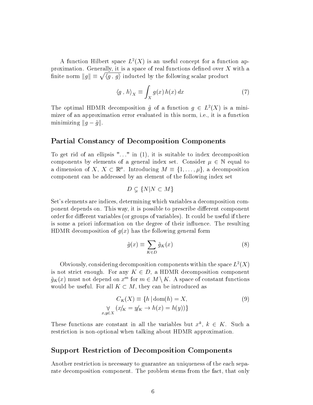A function Hilbert space  $L^2(X)$  is an useful concept for a function approximation. Generally, it is a space of real functions defined over  $X$  with a finite norm  $||g|| \equiv \sqrt{\langle g, g \rangle}$  inducted by the following scalar product

$$
\langle g \, , \, h \rangle_X \equiv \int_X g(x) \, h(x) \, dx \tag{7}
$$

The optimal HDMR decomposition  $\tilde{g}$  of a function  $g \in L^2(X)$  is a minimizer of an approximation error evaluated in this norm, i.e., it is a function minimizing  $||g-\tilde{g}||$ .

#### Partial Constancy of Decomposition Components

To get rid of an ellipsis " $\ldots$ " in (1), it is suitable to index decomposition components by elements of a general index set. Consider  $\mu \in \mathbb{N}$  equal to a dimension of X,  $X \subset \mathbb{R}^{\mu}$ . Introducing  $M \equiv \{1, \ldots, \mu\}$ , a decomposition component can be addressed by an element of the following index set

$$
D \subsetneq \{N | N \subset M\}
$$

Set's elements are indices, determining which variables a decomposition component depends on. This way, it is possible to prescribe different component order for different variables (or groups of variables). It could be useful if there is some a priori information on the degree of their influence. The resulting HDMR decomposition of  $g(x)$  has the following general form

$$
\tilde{g}(x) \equiv \sum_{K \in D} \tilde{g}_K(x) \tag{8}
$$

Obviously, considering decomposition components within the space  $L^2(X)$ is not strict enough. For any  $K \in D$ , a HDMR decomposition component  $\tilde{g}_K(x)$  must not depend on  $x^m$  for  $m \in M \setminus K$ . A space of constant functions would be useful. For all  $K \subset M$ , they can be introduced as

$$
C_K(X) \equiv \{h \mid \text{dom}(h) = X, \n\forall x \ (x/K = y/K \to h(x) = h(y))\}
$$
\n(9)

These functions are constant in all the variables but  $x^k$ ,  $k \in K$ . Such a restriction is non-optional when talking about HDMR approximation.

#### Support Restriction of Decomposition Components

Another restriction is necessary to guarantee an uniqueness of the each separate decomposition component. The problem stems from the fact, that only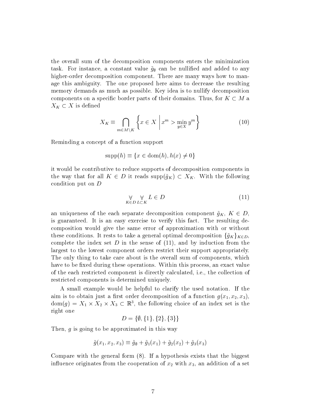the overall sum of the decomposition components enters the minimization task. For instance, a constant value  $\tilde{g}_{\emptyset}$  can be nullified and added to any higher-order decomposition component. There are many ways how to manage this ambiguity. The one proposed here aims to decrease the resulting memory demands as much as possible. Key idea is to nullify decomposition components on a specific border parts of their domains. Thus, for  $K \subset M$  a  $X_K \subset X$  is defined

$$
X_K \equiv \bigcap_{m \in M \setminus K} \left\{ x \in X \; \middle| \; x^m > \min_{y \in X} y^m \right\} \tag{10}
$$

Reminding a concept of a function support

$$
supp(h) \equiv \{x \in \text{dom}(h), h(x) \neq 0\}
$$

it would be contributive to reduce supports of decomposition components in the way that for all  $K \in D$  it reads supp $(\tilde{g}_K) \subset X_K$ . With the following condition put on D

$$
\forall \forall \, L \in D
$$
\n
$$
K \in D \, L \subset K \tag{11}
$$

an uniqueness of the each separate decomposition component  $\tilde{g}_K$ ,  $K \in D$ , is guaranteed. It is an easy exercise to verify this fact. The resulting decomposition would give the same error of approximation with or without these conditions. It rests to take a general optimal decomposition  $\{\tilde{g}_K\}_{K\in D}$ , complete the index set  $D$  in the sense of  $(11)$ , and by induction from the largest to the lowest component orders restrict their support appropriately. The only thing to take care about is the overall sum of components, which have to be fixed during these operations. Within this process, an exact value of the each restricted component is directly calculated, i.e., the collection of restricted components is determined uniquely.

A small example would be helpful to clarify the used notation. If the aim is to obtain just a first order decomposition of a function  $g(x_1, x_2, x_3)$ ,  $dom(g) = X_1 \times X_2 \times X_3 \subset \mathbb{R}^3$ , the following choice of an index set is the right one

$$
D = \{\emptyset, \{1\}, \{2\}, \{3\}\}\
$$

Then, g is going to be approximated in this way

$$
\tilde{g}(x_1, x_2, x_3) \equiv \tilde{g}_{\emptyset} + \tilde{g}_1(x_1) + \tilde{g}_2(x_2) + \tilde{g}_3(x_3)
$$

Compare with the general form (8). If a hypothesis exists that the biggest influence originates from the cooperation of  $x_2$  with  $x_3$ , an addition of a set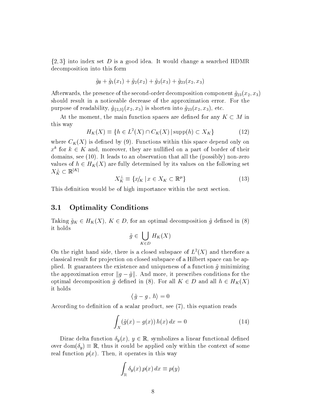$\{2,3\}$  into index set D is a good idea. It would change a searched HDMR decomposition into this form

$$
\tilde{g}_{\emptyset} + \tilde{g}_1(x_1) + \tilde{g}_2(x_2) + \tilde{g}_3(x_3) + \tilde{g}_{23}(x_2, x_3)
$$

Afterwards, the presence of the second-order decomposition component  $\tilde{g}_{23}(x_2, x_3)$ should result in a noticeable decrease of the approximation error. For the purpose of readability,  $\tilde{g}_{\{2,3\}}(x_2, x_3)$  is shorten into  $\tilde{g}_{23}(x_2, x_3)$ , etc.

At the moment, the main function spaces are defined for any  $K \subset M$  in this way

$$
H_K(X) \equiv \{ h \in L^2(X) \cap C_K(X) \, | \operatorname{supp}(h) \subset X_K \} \tag{12}
$$

where  $C_K(X)$  is defined by (9). Functions within this space depend only on  $x^k$  for  $k \in K$  and, moreover, they are nullified on a part of border of their domains, see (10). It leads to an observation that all the (possibly) non-zero values of  $h \in H_K(X)$  are fully determined by its values on the following set  $X_K^\perp \subset \mathbb{R}^{|K|}$ 

$$
X_K^{\perp} \equiv \{x|K} \mid x \in X_K \subset \mathbb{R}^{\mu}\}\tag{13}
$$

This definition would be of high importance within the next section.

#### 3.1 Optimality Conditions

Taking  $\tilde{g}_K \in H_K(X)$ ,  $K \in D$ , for an optimal decomposition  $\tilde{g}$  defined in (8) it holds

$$
\tilde{g} \in \bigcup_{K \in D} H_K(X)
$$

On the right hand side, there is a closed subspace of  $L^2(X)$  and therefore a classical result for projection on closed subspace of a Hilbert space can be applied. It guarantees the existence and uniqueness of a function  $\tilde{q}$  minimizing the approximation error  $||g-\tilde{g}||$ . And more, it prescribes conditions for the optimal decomposition  $\tilde{g}$  defined in (8). For all  $K \in D$  and all  $h \in H_K(X)$ it holds

$$
\langle \, \tilde{g} - g \, , \, h \rangle = 0
$$

According to definition of a scalar product, see  $(7)$ , this equation reads

$$
\int_{X} (\tilde{g}(x) - g(x)) h(x) dx = 0 \tag{14}
$$

Dirac delta function  $\delta_y(x)$ ,  $y \in \mathbb{R}$ , symbolizes a linear functional defined over dom $(\delta_u) \equiv \mathbb{R}$ , thus it could be applied only within the context of some real function  $p(x)$ . Then, it operates in this way

$$
\int_{\mathbb{R}} \delta_y(x) \, p(x) \, dx \equiv p(y)
$$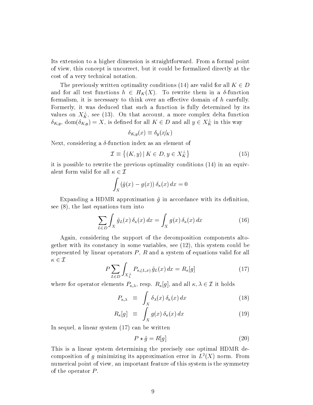Its extension to a higher dimension is straightforward. From a formal point of view, this concept is uncorrect, but it could be formalized directly at the cost of a very technical notation.

The previously written optimality conditions (14) are valid for all  $K \in D$ and for all test functions  $h \in H_K(X)$ . To rewrite them in a  $\delta$ -function formalism, it is necessary to think over an effective domain of  $h$  carefully. Formerly, it was deduced that such a function is fully determined by its values on  $X_K^{\perp}$ , see (13). On that account, a more complex delta function  $\delta_{K,y},\, \mathrm{dom}(\delta_{K,y})=X,$  is defined for all  $K\in D$  and all  $y\in X_K^\perp$  in this way

$$
\delta_{K,y}(x) \equiv \delta_y(x|K)
$$

Next, considering a  $\delta$ -function index as an element of

$$
\mathcal{I} \equiv \left\{ (K, y) \,|\, K \in D, y \in X_K^{\perp} \right\} \tag{15}
$$

it is possible to rewrite the previous optimality conditions (14) in an equivalent form valid for all  $\kappa \in \mathcal{I}$ 

$$
\int_X (\tilde{g}(x) - g(x)) \, \delta_\kappa(x) \, dx = 0
$$

Expanding a HDMR approximation  $\tilde{g}$  in accordance with its definition, see (8), the last equations turn into

$$
\sum_{L \in D} \int_{X} \tilde{g}_{L}(x) \, \delta_{\kappa}(x) \, dx = \int_{X} g(x) \, \delta_{\kappa}(x) \, dx \tag{16}
$$

Again, considering the support of the decomposition components altogether with its constancy in some variables, see (12), this system could be represented by linear operators  $P$ ,  $R$  and a system of equations valid for all  $\kappa \in \mathcal{I}$ 

$$
P\sum_{L\in D}\int_{X_L^{\perp}}P_{\kappa,(L,x)}\,\tilde{g}_L(x)\,dx = R_{\kappa}[g] \tag{17}
$$

where for operator elements  $P_{\kappa,\lambda}$ , resp.  $R_{\kappa}[g]$ , and all  $\kappa,\lambda \in \mathcal{I}$  it holds

$$
P_{\kappa,\lambda} \equiv \int_X \delta_\lambda(x) \, \delta_\kappa(x) \, dx \tag{18}
$$

$$
R_{\kappa}[g] \equiv \int_{X} g(x) \, \delta_{\kappa}(x) \, dx \tag{19}
$$

In sequel, a linear system (17) can be written

$$
P \star \tilde{g} = R[g] \tag{20}
$$

This is a linear system determining the precisely one optimal HDMR decomposition of g minimizing its approximation error in  $L^2(X)$  norm. From numerical point of view, an important feature of this system is the symmetry of the operator  $P$ .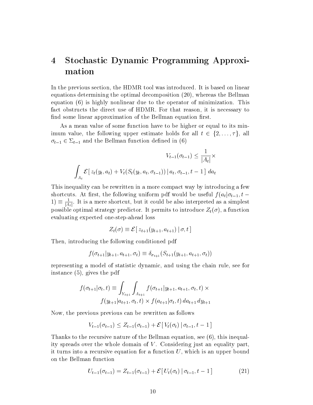# 4 Stochastic Dynamic Programming Approximation

In the previous section, the HDMR tool was introduced. It is based on linear equations determining the optimal decomposition (20), whereas the Bellman equation (6) is highly nonlinear due to the operator of minimization. This fact obstructs the direct use of HDMR. For that reason, it is necessary to find some linear approximation of the Bellman equation first.

As a mean value of some function have to be higher or equal to its minimum value, the following upper estimate holds for all  $t \in \{2, \ldots, \tau\}$ , all  $\sigma_{t-1} \in \Sigma_{t-1}$  and the Bellman function defined in (6)

$$
V_{t-1}(\sigma_{t-1}) \le \frac{1}{|A_t|} \times
$$

$$
\int_{A_t} \mathcal{E} \left[ z_t(y_t, a_t) + V_t(S_t(y_t, a_t, \sigma_{t-1})) \, \middle| \, a_t, \sigma_{t-1}, t-1 \right] \, da_t
$$

This inequality can be rewritten in a more compact way by introducing a few shortcuts. At first, the following uniform pdf would be useful  $f(a_t | \sigma_{t-1}, t 1) \equiv \frac{1}{14}$  $\frac{1}{|A_t|}$ . It is a mere shortcut, but it could be also interpreted as a simplest possible optimal strategy predictor. It permits to introduce  $Z_t(\sigma)$ , a function evaluating expected one-step-ahead loss

$$
Z_t(\sigma) \equiv \mathcal{E}[z_{t+1}(y_{t+1}, a_{t+1}) | \sigma, t]
$$

Then, introducing the following conditioned pdf

$$
f(\sigma_{t+1}|y_{t+1}, a_{t+1}, \sigma_t) \equiv \delta_{\sigma_{t+1}}(S_{t+1}(y_{t+1}, a_{t+1}, \sigma_t))
$$

representing a model of statistic dynamic, and using the chain rule, see for instance (5), gives the pdf

$$
f(\sigma_{t+1}|\sigma_t, t) \equiv \int_{Y_{t+1}} \int_{A_{t+1}} f(\sigma_{t+1}|y_{t+1}, a_{t+1}, \sigma_t, t) \times
$$
  

$$
f(y_{t+1}|a_{t+1}, \sigma_t, t) \times f(a_{t+1}|\sigma_t, t) \, da_{t+1} \, dy_{t+1}
$$

Now, the previous previous can be rewritten as follows

$$
V_{t-1}(\sigma_{t-1}) \leq Z_{t-1}(\sigma_{t-1}) + \mathcal{E}[V_t(\sigma_t) | \sigma_{t-1}, t-1]
$$

Thanks to the recursive nature of the Bellman equation, see (6), this inequality spreads over the whole domain of  $V$ . Considering just an equality part, it turns into a recursive equation for a function  $U$ , which is an upper bound on the Bellman function

$$
U_{t-1}(\sigma_{t-1}) = Z_{t-1}(\sigma_{t-1}) + \mathcal{E}[U_t(\sigma_t) | \sigma_{t-1}, t-1]
$$
\n(21)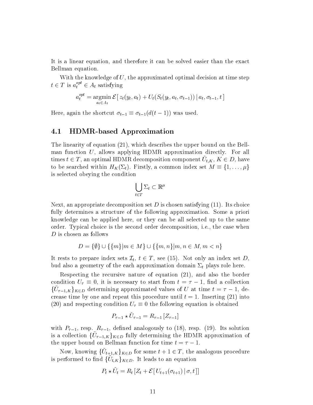It is a linear equation, and therefore it can be solved easier than the exact Bellman equation.

With the knowledge of  $U$ , the approximated optimal decision at time step  $t \in T$  is  $a_t^{opt} \in A_t$  satisfying

$$
a_t^{opt} = \underset{a_t \in A_t}{\operatorname{argmin}} \mathcal{E}\left[z_t(y_t, a_t) + U_t(S_t(y_t, a_t, \sigma_{t-1})) \,|\, a_t, \sigma_{t-1}, t\right]
$$

Here, again the shortcut  $\sigma_{t-1} \equiv \sigma_{t-1}(d(t - 1))$  was used.

#### 4.1 HDMR-based Approximation

The linearity of equation (21), which describes the upper bound on the Bellman function  $U$ , allows applying HDMR approximation directly. For all times  $t \in T,$  an optimal HDMR decomposition component  $\tilde{U}_{t, K}, K \in D,$  have to be searched within  $H_K(\Sigma_t)$ . Firstly, a common index set  $M \equiv \{1, \ldots, \mu\}$ is selected obeying the condition

$$
\bigcup_{t\in T}\Sigma_t\subset\mathbb{R}^{\mu}
$$

Next, an appropriate decomposition set D is chosen satisfying  $(11)$ . Its choice fully determines a structure of the following approximation. Some a priori knowledge can be applied here, or they can be all selected up to the same order. Typical choice is the second order decomposition, i.e., the case when D is chosen as follows

$$
D = \{\emptyset\} \cup \{\{m\}|m \in M\} \cup \{\{m, n\}|m, n \in M, m < n\}
$$

It rests to prepare index sets  $\mathcal{I}_t, t \in T$ , see (15). Not only an index set  $D,$ bud also a geometry of the each approximation domain  $\Sigma_t$  plays role here.

Respecting the recursive nature of equation (21), and also the border condition  $U_{\tau} \equiv 0$ , it is necessary to start from  $t = \tau - 1$ , find a collection  $\{\tilde{U}_{\tau-1,K}\}_{K\in D}$  determining approximated values of U at time  $t = \tau - 1$ , decrease time by one and repeat this procedure until  $t = 1$ . Inserting (21) into (20) and respecting condition  $U_{\tau} \equiv 0$  the following equation is obtained

$$
P_{\tau-1} \star \tilde{U}_{\tau-1} = R_{\tau-1} [Z_{\tau-1}]
$$

with  $P_{\tau-1}$ , resp.  $R_{\tau-1}$ , defined analogously to (18), resp. (19). Its solution is a collection  $\{\tilde{U}_{\tau-1,K}\}_{K\in D}$  fully determining the HDMR approximation of the upper bound on Bellman function for time  $t = \tau - 1$ .

Now, knowing  $\{\tilde{U}_{t+1,K}\}_{K\in D}$  for some  $t+1\in T,$  the analogous procedure is performed to find  $\{\tilde{U}_{t,K}\}_{K\in D}.$  It leads to an equation

$$
P_t \star \tilde{U}_t = R_t \left[ Z_t + \mathcal{E} \left[ U_{t+1}(\sigma_{t+1}) \, | \, \sigma, t \right] \right]
$$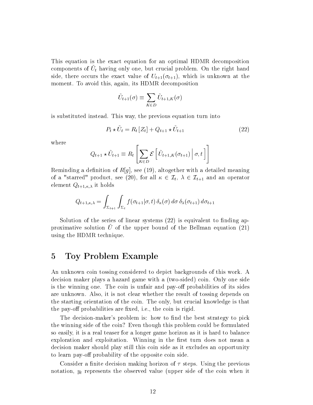This equation is the exact equation for an optimal HDMR decomposition components of  $\tilde{U}_t$  having only one, but crucial problem. On the right hand side, there occurs the exact value of  $U_{t+1}(\sigma_{t+1})$ , which is unknown at the moment. To avoid this, again, its HDMR decomposition

$$
\tilde{U}_{t+1}(\sigma) \equiv \sum_{K \in D} \tilde{U}_{t+1,K}(\sigma)
$$

is substituted instead. This way, the previous equation turn into

$$
P_t \star \tilde{U}_t = R_t \left[ Z_t \right] + Q_{t+1} \star \tilde{U}_{t+1} \tag{22}
$$

where

$$
Q_{t+1} \star \tilde{U}_{t+1} \equiv R_t \left[ \sum_{K \in D} \mathcal{E} \left[ \tilde{U}_{t+1,K}(\sigma_{t+1}) \, \middle| \, \sigma, t \right] \right]
$$

Reminding a definition of  $R[g]$ , see (19), altogether with a detailed meaning of a "starred" product, see (20), for all  $\kappa \in \mathcal{I}_t, \ \lambda \in \mathcal{I}_{t+1}$  and an operator element  $Q_{t+1,\kappa,\lambda}$  it holds

$$
Q_{t+1,\kappa,\lambda} = \int_{\Sigma_{t+1}} \int_{\Sigma_{t}} f(\sigma_{t+1}|\sigma,t) \, \delta_{\kappa}(\sigma) \, d\sigma \, \delta_{\lambda}(\sigma_{t+1}) \, d\sigma_{t+1}
$$

Solution of the series of linear systems  $(22)$  is equivalent to finding approximative solution U of the upper bound of the Bellman equation  $(21)$ using the HDMR technique.

### 5 Toy Problem Example

An unknown coin tossing considered to depict backgrounds of this work. A decision maker plays a hazard game with a (two-sided) coin. Only one side is the winning one. The coin is unfair and pay-off probabilities of its sides are unknown. Also, it is not clear whether the result of tossing depends on the starting orientation of the coin. The only, but crucial knowledge is that the pay-off probabilities are fixed, i.e., the coin is rigid.

The decision-maker's problem is: how to find the best strategy to pick the winning side of the coin? Even though this problem could be formulated so easily, it is a real teaser for a longer game horizon as it is hard to balance exploration and exploitation. Winning in the first turn does not mean a decision maker should play still this coin side as it excludes an opportunity to learn pay-off probability of the opposite coin side.

Consider a finite decision making horizon of  $\tau$  steps. Using the previous notation,  $y_t$  represents the observed value (upper side of the coin when it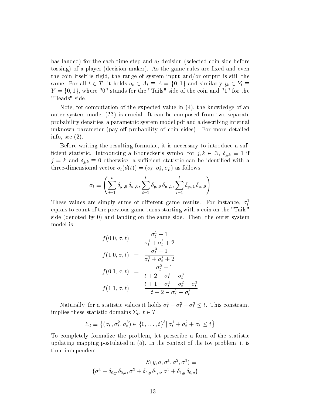has landed) for the each time step and  $a_t$  decision (selected coin side before tossing) of a player (decision maker). As the game rules are fixed and even the coin itself is rigid, the range of system input and/or output is still the same. For all  $t \in T$ , it holds  $a_t \in A_t \equiv A = \{0, 1\}$  and similarly  $y_t \in Y_t \equiv$  $Y = \{0, 1\}$ , where "0" stands for the "Tails" side of the coin and "1" for the "Heads" side.

Note, for computation of the expected value in (4), the knowledge of an outer system model (??) is crucial. It can be composed from two separate probability densities, a parametric system model pdf and a describing internal unknown parameter (pay-off probability of coin sides). For more detailed info, see (2).

Before writing the resulting formulae, it is necessary to introduce a suf ficient statistic. Introducing a Kronecker's symbol for  $j, k \in \mathbb{N}, \delta_{j,k} \equiv 1$  if  $j = k$  and  $\delta_{j,k} \equiv 0$  otherwise, a sufficient statistic can be identified with a three-dimensional vector  $\sigma_t(d(t)) = (\sigma_t^1, \sigma_t^2, \sigma_t^3)$  as follows

$$
\sigma_t \equiv \left( \sum_{i=1}^t \delta_{y_i,0} \, \delta_{a_i,0}, \sum_{i=1}^t \delta_{y_i,0} \, \delta_{a_i,1}, \sum_{i=1}^t \delta_{y_i,1} \, \delta_{a_i,0} \right)
$$

These values are simply sums of different game results. For instance,  $\sigma_t^1$ equals to count of the previous game turns starting with a coin on the "Tails" side (denoted by 0) and landing on the same side. Then, the outer system model is

$$
f(0|0, \sigma, t) = \frac{\sigma_t^1 + 1}{\sigma_t^1 + \sigma_t^3 + 2}
$$
  
\n
$$
f(1|0, \sigma, t) = \frac{\sigma_t^3 + 1}{\sigma_t^1 + \sigma_t^3 + 2}
$$
  
\n
$$
f(0|1, \sigma, t) = \frac{\sigma_t^2 + 1}{t + 2 - \sigma_t^1 - \sigma_t^3}
$$
  
\n
$$
f(1|1, \sigma, t) = \frac{t + 1 - \sigma_t^1 - \sigma_t^2 - \sigma_t^3}{t + 2 - \sigma_t^1 - \sigma_t^3}
$$

Naturally, for a statistic values it holds  $\sigma_t^1 + \sigma_t^2 + \sigma_t^3 \leq t$ . This constraint implies these statistic domains  $\Sigma_t$ ,  $t \in T$ 

$$
\Sigma_t \equiv \left\{ (\sigma_t^1, \sigma_t^2, \sigma_t^3) \in \{0, \ldots, t\}^3 | \sigma_t^1 + \sigma_t^2 + \sigma_t^1 \le t \right\}
$$

To completely formalize the problem, let prescribe a form of the statistic updating mapping postulated in (5). In the context of the toy problem, it is time independent

$$
S(y, a, \sigma^1, \sigma^2, \sigma^3) \equiv
$$
  

$$
(\sigma^1 + \delta_{0,y} \delta_{0,a}, \sigma^2 + \delta_{0,y} \delta_{1,a}, \sigma^3 + \delta_{1,y} \delta_{0,a})
$$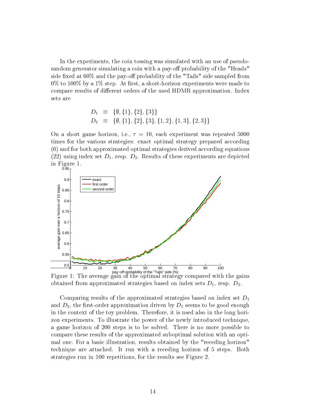In the experiments, the coin tossing was simulated with an use of pseudorandom generator simulating a coin with a pay-off probability of the "Heads" side fixed at  $60\%$  and the pay-off probability of the "Tails" side sampled from  $0\%$  to  $100\%$  by a  $1\%$  step. At first, a short-horizon experiments were made to compare results of different orders of the used HDMR approximation. Index sets are

$$
D_1 \equiv \{ \emptyset, \{1\}, \{2\}, \{3\} \} D_2 \equiv \{ \emptyset, \{1\}, \{2\}, \{3\}, \{1, 2\}, \{1, 3\}, \{2, 3\} \}
$$

On a short game horizon, i.e.,  $\tau = 10$ , each experiment was repeated 5000 times for the various strategies: exact optimal strategy prepared according (6) and for both approximated optimal strategies derived according equations (22) using index set  $D_1$ , resp.  $D_2$ . Results of these experiments are depicted in Figure 1.



pay−off probability of the "Tails" side (%) Figure 1: The average gain of the optimal strategy compared with the gains obtained from approximated strategies based on index sets  $D_1$ , resp.  $D_2$ .

Comparing results of the approximated strategies based on index set  $D_1$ and  $D_2$ , the first-order approximation driven by  $D_1$  seems to be good enough in the context of the toy problem. Therefore, it is used also in the long horizon experiments. To illustrate the power of the newly introduced technique, a game horizon of 200 steps is to be solved. There is no more possible to compare these results of the approximated suboptimal solution with an optimal one. For a basic illustration, results obtained by the "receding horizon" technique are attached. It run with a receding horizon of 5 steps. Both strategies run in 100 repetitions, for the results see Figure 2.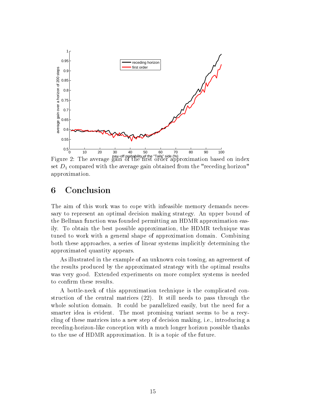

set  $D_1$  compared with the average gain obtained from the "receding horizon" approximation.

# 6 Conclusion

The aim of this work was to cope with infeasible memory demands necessary to represent an optimal decision making strategy. An upper bound of the Bellman function was founded permitting an HDMR approximation easily. To obtain the best possible approximation, the HDMR technique was tuned to work with a general shape of approximation domain. Combining both these approaches, a series of linear systems implicitly determining the approximated quantity appears.

As illustrated in the example of an unknown coin tossing, an agreement of the results produced by the approximated strategy with the optimal results was very good. Extended experiments on more complex systems is needed to confirm these results.

A bottle-neck of this approximation technique is the complicated construction of the central matrices (22). It still needs to pass through the whole solution domain. It could be parallelized easily, but the need for a smarter idea is evident. The most promising variant seems to be a recycling of these matrices into a new step of decision making, i.e., introducing a receding-horizon-like conception with a much longer horizon possible thanks to the use of HDMR approximation. It is a topic of the future.